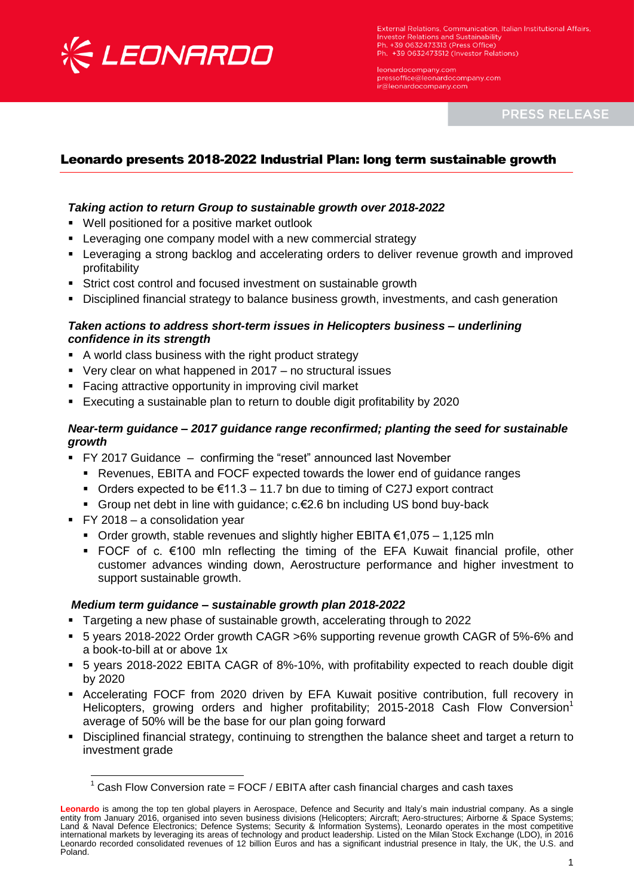

**External Relations, Communication, Italian Institutional Affairs. Investor Relations and Sustainability** Ph. +39 0632473313 (Press Office) Ph. +39 0632473512 (Investor Relations)

leonardocompany.com pressoffice@leonardocompany.com ir@leonardocompany.com

**PRESS RELEASE** 

# Leonardo presents 2018-2022 Industrial Plan: long term sustainable growth

### *Taking action to return Group to sustainable growth over 2018-2022*

- Well positioned for a positive market outlook
- **EXECT** Leveraging one company model with a new commercial strategy
- Leveraging a strong backlog and accelerating orders to deliver revenue growth and improved profitability
- Strict cost control and focused investment on sustainable growth
- Disciplined financial strategy to balance business growth, investments, and cash generation

#### *Taken actions to address short-term issues in Helicopters business – underlining confidence in its strength*

- A world class business with the right product strategy
- Very clear on what happened in 2017 no structural issues
- **Facing attractive opportunity in improving civil market**
- Executing a sustainable plan to return to double digit profitability by 2020

### *Near-term guidance – 2017 guidance range reconfirmed; planting the seed for sustainable growth*

- FY 2017 Guidance confirming the "reset" announced last November
	- **Revenues, EBITA and FOCF expected towards the lower end of guidance ranges**
	- Orders expected to be  $\epsilon$ 11.3 11.7 bn due to timing of C27J export contract
	- Group net debt in line with guidance; c.€2.6 bn including US bond buy-back
- FY 2018 a consolidation year

 $\overline{\phantom{a}}$ 

- Order growth, stable revenues and slightly higher EBITA  $€1,075 1,125$  mln
- FOCF of c.  $€100$  mln reflecting the timing of the EFA Kuwait financial profile, other customer advances winding down, Aerostructure performance and higher investment to support sustainable growth.

#### *Medium term guidance – sustainable growth plan 2018-2022*

- Targeting a new phase of sustainable growth, accelerating through to 2022
- 5 years 2018-2022 Order growth CAGR >6% supporting revenue growth CAGR of 5%-6% and a book-to-bill at or above 1x
- 5 years 2018-2022 EBITA CAGR of 8%-10%, with profitability expected to reach double digit by 2020
- Accelerating FOCF from 2020 driven by EFA Kuwait positive contribution, full recovery in Helicopters, growing orders and higher profitability; 2015-2018 Cash Flow Conversion<sup>1</sup> average of 50% will be the base for our plan going forward
- Disciplined financial strategy, continuing to strengthen the balance sheet and target a return to investment grade

 $1$  Cash Flow Conversion rate = FOCF / EBITA after cash financial charges and cash taxes

**Leonardo** is among the top ten global players in Aerospace, Defence and Security and Italy's main industrial company. As a single entity from January 2016, organised into seven business divisions (Helicopters; Aircraft; Aero-structures; Airborne & Space Systems;<br>Land & Naval Defence Electronics; Defence Systems; Security & Information Systems), Leona international markets by leveraging its areas of technology and product leadership. Listed on the Milan Stock Exchange (LDO), in 2016 Leonardo recorded consolidated revenues of 12 billion Euros and has a significant industrial presence in Italy, the UK, the U.S. and Poland.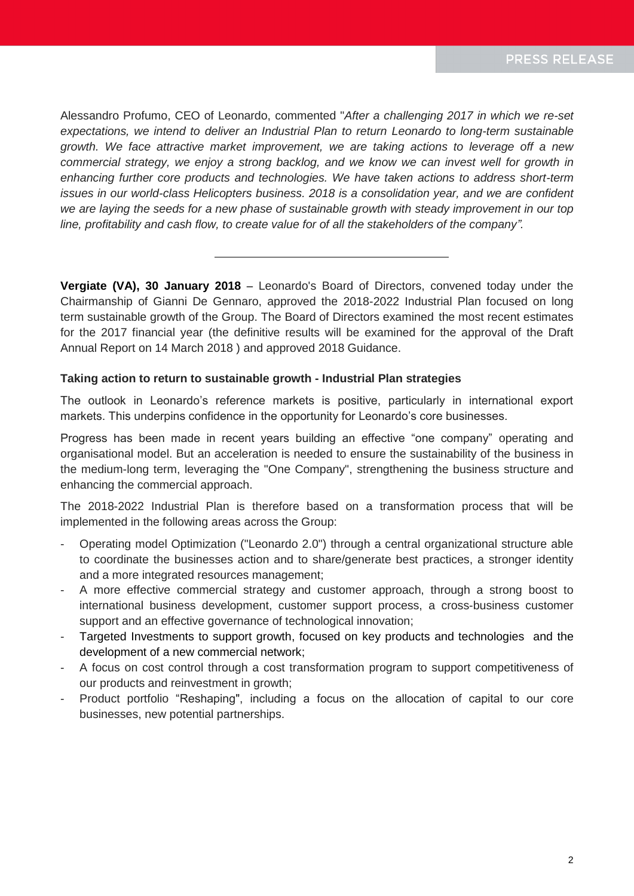Alessandro Profumo, CEO of Leonardo, commented "*After a challenging 2017 in which we re-set expectations, we intend to deliver an Industrial Plan to return Leonardo to long-term sustainable growth. We face attractive market improvement, we are taking actions to leverage off a new*  commercial strategy, we enjoy a strong backlog, and we know we can invest well for growth in *enhancing further core products and technologies. We have taken actions to address short-term issues in our world-class Helicopters business. 2018 is a consolidation year, and we are confident we are laying the seeds for a new phase of sustainable growth with steady improvement in our top line, profitability and cash flow, to create value for of all the stakeholders of the company".*

**Vergiate (VA), 30 January 2018** – Leonardo's Board of Directors, convened today under the Chairmanship of Gianni De Gennaro, approved the 2018-2022 Industrial Plan focused on long term sustainable growth of the Group. The Board of Directors examined the most recent estimates for the 2017 financial year (the definitive results will be examined for the approval of the Draft Annual Report on 14 March 2018 ) and approved 2018 Guidance.

### **Taking action to return to sustainable growth - Industrial Plan strategies**

The outlook in Leonardo's reference markets is positive, particularly in international export markets. This underpins confidence in the opportunity for Leonardo's core businesses.

Progress has been made in recent years building an effective "one company" operating and organisational model. But an acceleration is needed to ensure the sustainability of the business in the medium-long term, leveraging the "One Company", strengthening the business structure and enhancing the commercial approach.

The 2018-2022 Industrial Plan is therefore based on a transformation process that will be implemented in the following areas across the Group:

- Operating model Optimization ("Leonardo 2.0") through a central organizational structure able to coordinate the businesses action and to share/generate best practices, a stronger identity and a more integrated resources management;
- A more effective commercial strategy and customer approach, through a strong boost to international business development, customer support process, a cross-business customer support and an effective governance of technological innovation;
- Targeted Investments to support growth, focused on key products and technologies and the development of a new commercial network;
- A focus on cost control through a cost transformation program to support competitiveness of our products and reinvestment in growth;
- Product portfolio "Reshaping", including a focus on the allocation of capital to our core businesses, new potential partnerships.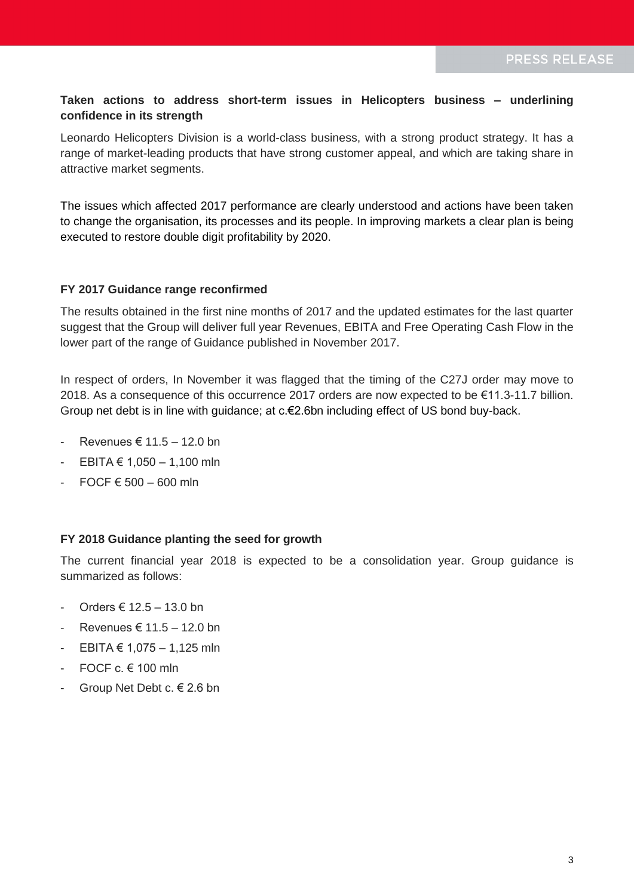## **Taken actions to address short-term issues in Helicopters business – underlining confidence in its strength**

Leonardo Helicopters Division is a world-class business, with a strong product strategy. It has a range of market-leading products that have strong customer appeal, and which are taking share in attractive market segments.

The issues which affected 2017 performance are clearly understood and actions have been taken to change the organisation, its processes and its people. In improving markets a clear plan is being executed to restore double digit profitability by 2020.

### **FY 2017 Guidance range reconfirmed**

The results obtained in the first nine months of 2017 and the updated estimates for the last quarter suggest that the Group will deliver full year Revenues, EBITA and Free Operating Cash Flow in the lower part of the range of Guidance published in November 2017.

In respect of orders, In November it was flagged that the timing of the C27J order may move to 2018. As a consequence of this occurrence 2017 orders are now expected to be €11.3-11.7 billion. Group net debt is in line with guidance; at c.€2.6bn including effect of US bond buy-back.

- Revenues € 11.5 12.0 bn
- EBITA € 1,050 1,100 mln
- $\overline{\phantom{0}}$  FOCF  $\epsilon$  500 600 mln

#### **FY 2018 Guidance planting the seed for growth**

The current financial year 2018 is expected to be a consolidation year. Group guidance is summarized as follows:

- $Orders$  € 12.5 13.0 bn
- Revenues € 11.5 12.0 bn
- EBITA € 1,075 1,125 mln
- FOCF c.  $\in$  100 mln
- Group Net Debt c. € 2.6 bn